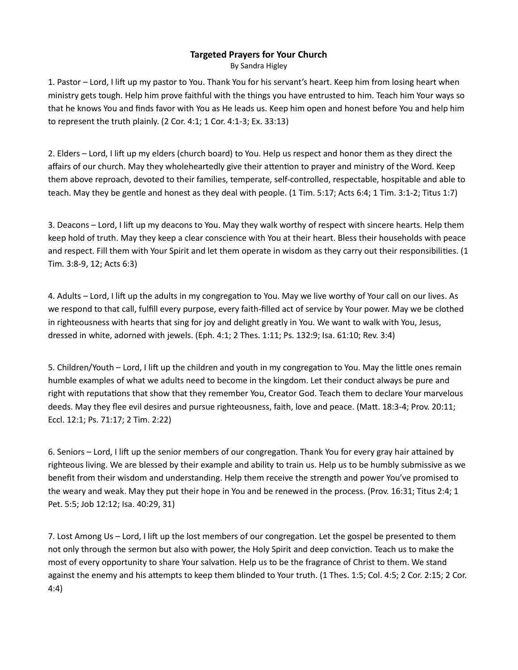## Targeted Prayers for Your Church

By Sandra Higley

1. Pastor – Lord, I lift up my pastor to You. Thank You for his servant's heart. Keep him from losing heart when ministry gets tough. Help him prove faithful with the things you have entrusted to him. Teach him Your ways so that he knows You and finds favor with You as He leads us. Keep him open and honest before You and help him to represent the truth plainly. (2 Cor. 4:1; 1 Cor. 4:1-3; Ex. 33:13)

2. Elders – Lord, I lift up my elders (church board) to You. Help us respect and honor them as they direct the affairs of our church. May they wholeheartedly give their attention to prayer and ministry of the Word. Keep them above reproach, devoted to their families, temperate, self-controlled, respectable, hospitable and able to teach. May they be gentle and honest as they deal with people. (1 Tim. 5:17; Acts 6:4; 1 Tim. 3:1-2; Titus 1:7)

3. Deacons – Lord, I lift up my deacons to You. May they walk worthy of respect with sincere hearts. Help them keep hold of truth. May they keep a clear conscience with You at their heart. Bless their households with peace and respect. Fill them with Your Spirit and let them operate in wisdom as they carry out their responsibilities. (1 Tim. 3:8-9, 12; Acts 6:3)

4. Adults – Lord, I lift up the adults in my congregation to You. May we live worthy of Your call on our lives. As we respond to that call, fulfill every purpose, every faith-filled act of service by Your power. May we be clothed in righteousness with hearts that sing for joy and delight greatly in You. We want to walk with You, Jesus, dressed in white, adorned with jewels. (Eph. 4:1; 2 Thes. 1:11; Ps. 132:9; Isa. 61:10; Rev. 3:4)

5. Children/Youth – Lord, I lift up the children and youth in my congregation to You. May the little ones remain humble examples of what we adults need to become in the kingdom. Let their conduct always be pure and right with reputations that show that they remember You, Creator God. Teach them to declare Your marvelous deeds. May they flee evil desires and pursue righteousness, faith, love and peace. (Matt. 18:3-4; Prov. 20:11; Eccl. 12:1; Ps. 71:17; 2 Tim. 2:22)

6. Seniors – Lord, I lift up the senior members of our congregation. Thank You for every gray hair attained by righteous living. We are blessed by their example and ability to train us. Help us to be humbly submissive as we benefit from their wisdom and understanding. Help them receive the strength and power You've promised to the weary and weak. May they put their hope in You and be renewed in the process. (Prov. 16:31; Titus 2:4; 1 Pet. 5:5; Job 12:12; Isa. 40:29, 31)

7. Lost Among Us – Lord, I lift up the lost members of our congregation. Let the gospel be presented to them not only through the sermon but also with power, the Holy Spirit and deep conviction. Teach us to make the most of every opportunity to share Your salvation. Help us to be the fragrance of Christ to them. We stand against the enemy and his attempts to keep them blinded to Your truth. (1 Thes. 1:5; Col. 4:5; 2 Cor. 2:15; 2 Cor. 4:4)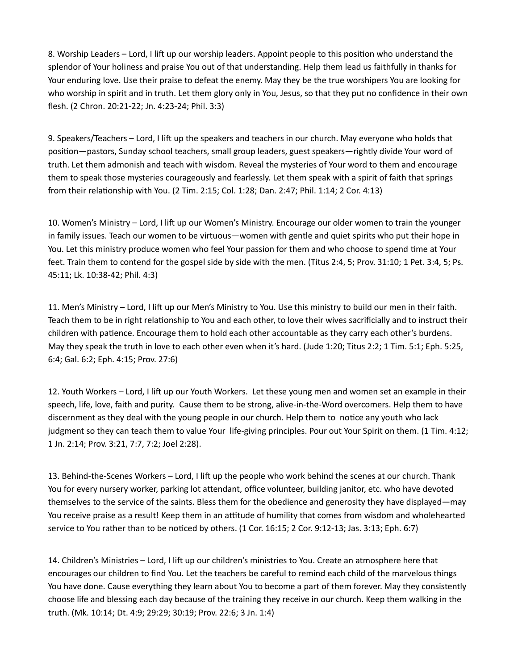8. Worship Leaders – Lord, I lift up our worship leaders. Appoint people to this position who understand the splendor of Your holiness and praise You out of that understanding. Help them lead us faithfully in thanks for Your enduring love. Use their praise to defeat the enemy. May they be the true worshipers You are looking for who worship in spirit and in truth. Let them glory only in You, Jesus, so that they put no confidence in their own flesh. (2 Chron. 20:21-22; Jn. 4:23-24; Phil. 3:3)

9. Speakers/Teachers – Lord, I lift up the speakers and teachers in our church. May everyone who holds that position—pastors, Sunday school teachers, small group leaders, guest speakers—rightly divide Your word of truth. Let them admonish and teach with wisdom. Reveal the mysteries of Your word to them and encourage them to speak those mysteries courageously and fearlessly. Let them speak with a spirit of faith that springs from their relationship with You. (2 Tim. 2:15; Col. 1:28; Dan. 2:47; Phil. 1:14; 2 Cor. 4:13)

10. Women's Ministry - Lord, I lift up our Women's Ministry. Encourage our older women to train the younger in family issues. Teach our women to be virtuous—women with gentle and quiet spirits who put their hope in You. Let this ministry produce women who feel Your passion for them and who choose to spend time at Your feet. Train them to contend for the gospel side by side with the men. (Titus 2:4, 5; Prov. 31:10; 1 Pet. 3:4, 5; Ps. 45:11; Lk. 10:38-42; Phil. 4:3)

11. Men's Ministry – Lord, I lift up our Men's Ministry to You. Use this ministry to build our men in their faith. Teach them to be in right relationship to You and each other, to love their wives sacrificially and to instruct their children with patience. Encourage them to hold each other accountable as they carry each other's burdens. May they speak the truth in love to each other even when it's hard. (Jude 1:20; Titus 2:2; 1 Tim. 5:1; Eph. 5:25, 6:4; Gal. 6:2; Eph. 4:15; Prov. 27:6)

12. Youth Workers – Lord, I lift up our Youth Workers. Let these young men and women set an example in their speech, life, love, faith and purity. Cause them to be strong, alive-in-the-Word overcomers. Help them to have discernment as they deal with the young people in our church. Help them to notice any youth who lack judgment so they can teach them to value Your life-giving principles. Pour out Your Spirit on them. (1 Tim. 4:12; 1 Jn. 2:14; Prov. 3:21, 7:7, 7:2; Joel 2:28).

13. Behind-the-Scenes Workers – Lord, I lift up the people who work behind the scenes at our church. Thank You for every nursery worker, parking lot attendant, office volunteer, building janitor, etc. who have devoted themselves to the service of the saints. Bless them for the obedience and generosity they have displayed—may You receive praise as a result! Keep them in an attitude of humility that comes from wisdom and wholehearted service to You rather than to be noticed by others. (1 Cor. 16:15; 2 Cor. 9:12-13; Jas. 3:13; Eph. 6:7)

14. Children's Ministries – Lord, I lift up our children's ministries to You. Create an atmosphere here that encourages our children to find You. Let the teachers be careful to remind each child of the marvelous things You have done. Cause everything they learn about You to become a part of them forever. May they consistently choose life and blessing each day because of the training they receive in our church. Keep them walking in the truth. (Mk. 10:14; Dt. 4:9; 29:29; 30:19; Prov. 22:6; 3 Jn. 1:4)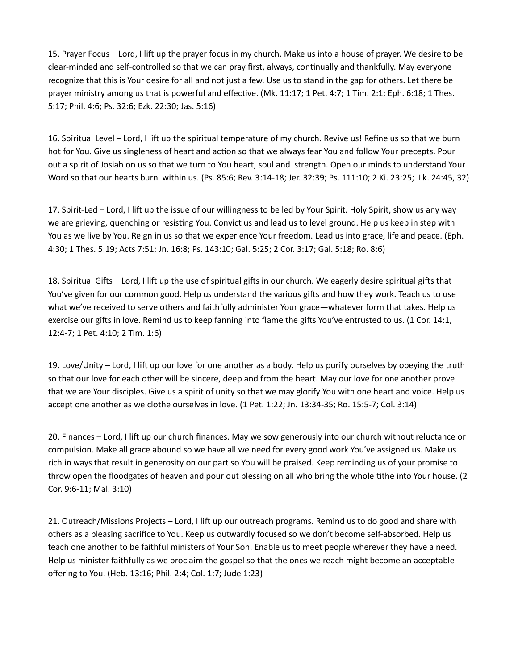15. Prayer Focus – Lord, I lift up the prayer focus in my church. Make us into a house of prayer. We desire to be clear-minded and self-controlled so that we can pray first, always, continually and thankfully. May everyone recognize that this is Your desire for all and not just a few. Use us to stand in the gap for others. Let there be prayer ministry among us that is powerful and effective. (Mk. 11:17; 1 Pet. 4:7; 1 Tim. 2:1; Eph. 6:18; 1 Thes. 5:17; Phil. 4:6; Ps. 32:6; Ezk. 22:30; Jas. 5:16)

16. Spiritual Level – Lord, I lift up the spiritual temperature of my church. Revive us! Refine us so that we burn hot for You. Give us singleness of heart and action so that we always fear You and follow Your precepts. Pour out a spirit of Josiah on us so that we turn to You heart, soul and strength. Open our minds to understand Your Word so that our hearts burn within us. (Ps. 85:6; Rev. 3:14-18; Jer. 32:39; Ps. 111:10; 2 Ki. 23:25; Lk. 24:45, 32)

17. Spirit-Led – Lord, I lift up the issue of our willingness to be led by Your Spirit. Holy Spirit, show us any way we are grieving, quenching or resisting You. Convict us and lead us to level ground. Help us keep in step with You as we live by You. Reign in us so that we experience Your freedom. Lead us into grace, life and peace. (Eph. 4:30; 1 Thes. 5:19; Acts 7:51; Jn. 16:8; Ps. 143:10; Gal. 5:25; 2 Cor. 3:17; Gal. 5:18; Ro. 8:6)

18. Spiritual Gifts – Lord, I lift up the use of spiritual gifts in our church. We eagerly desire spiritual gifts that You've given for our common good. Help us understand the various gifts and how they work. Teach us to use what we've received to serve others and faithfully administer Your grace—whatever form that takes. Help us exercise our gifts in love. Remind us to keep fanning into flame the gifts You've entrusted to us. (1 Cor. 14:1, 12:4-7; 1 Pet. 4:10; 2 Tim. 1:6)

19. Love/Unity – Lord, I lift up our love for one another as a body. Help us purify ourselves by obeying the truth so that our love for each other will be sincere, deep and from the heart. May our love for one another prove that we are Your disciples. Give us a spirit of unity so that we may glorify You with one heart and voice. Help us accept one another as we clothe ourselves in love. (1 Pet. 1:22; Jn. 13:34-35; Ro. 15:5-7; Col. 3:14)

20. Finances – Lord, I lift up our church finances. May we sow generously into our church without reluctance or compulsion. Make all grace abound so we have all we need for every good work You've assigned us. Make us rich in ways that result in generosity on our part so You will be praised. Keep reminding us of your promise to throw open the floodgates of heaven and pour out blessing on all who bring the whole tithe into Your house. (2 Cor. 9:6-11; Mal. 3:10)

21. Outreach/Missions Projects – Lord, I lift up our outreach programs. Remind us to do good and share with others as a pleasing sacrifice to You. Keep us outwardly focused so we don't become self-absorbed. Help us teach one another to be faithful ministers of Your Son. Enable us to meet people wherever they have a need. Help us minister faithfully as we proclaim the gospel so that the ones we reach might become an acceptable offering to You. (Heb. 13:16; Phil. 2:4; Col. 1:7; Jude 1:23)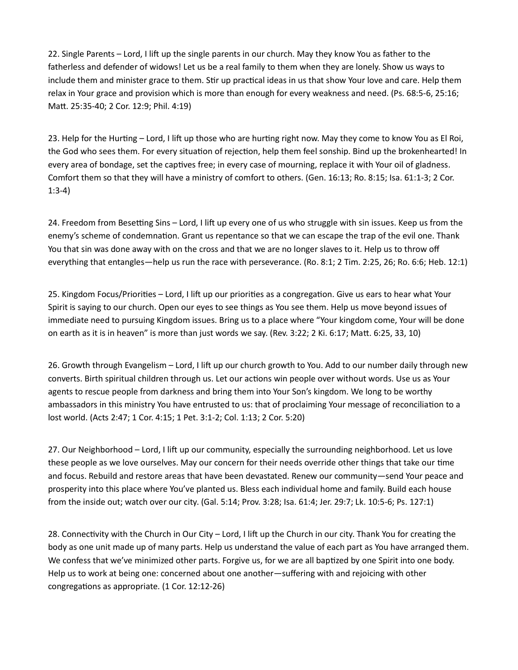22. Single Parents – Lord, I lift up the single parents in our church. May they know You as father to the fatherless and defender of widows! Let us be a real family to them when they are lonely. Show us ways to include them and minister grace to them. Stir up practical ideas in us that show Your love and care. Help them relax in Your grace and provision which is more than enough for every weakness and need. (Ps. 68:5-6, 25:16; MaƩ. 25:35-40; 2 Cor. 12:9; Phil. 4:19)

23. Help for the Hurting – Lord, I lift up those who are hurting right now. May they come to know You as El Roi, the God who sees them. For every situation of rejection, help them feel sonship. Bind up the brokenhearted! In every area of bondage, set the captives free; in every case of mourning, replace it with Your oil of gladness. Comfort them so that they will have a ministry of comfort to others. (Gen. 16:13; Ro. 8:15; Isa. 61:1-3; 2 Cor. 1:3-4)

24. Freedom from Besetting Sins – Lord, I lift up every one of us who struggle with sin issues. Keep us from the enemy's scheme of condemnation. Grant us repentance so that we can escape the trap of the evil one. Thank You that sin was done away with on the cross and that we are no longer slaves to it. Help us to throw off everything that entangles—help us run the race with perseverance. (Ro. 8:1; 2 Tim. 2:25, 26; Ro. 6:6; Heb. 12:1)

25. Kingdom Focus/Priorities – Lord, I lift up our priorities as a congregation. Give us ears to hear what Your Spirit is saying to our church. Open our eyes to see things as You see them. Help us move beyond issues of immediate need to pursuing Kingdom issues. Bring us to a place where "Your kingdom come, Your will be done on earth as it is in heaven" is more than just words we say. (Rev. 3:22; 2 Ki. 6:17; Matt. 6:25, 33, 10)

26. Growth through Evangelism – Lord, I lift up our church growth to You. Add to our number daily through new converts. Birth spiritual children through us. Let our actions win people over without words. Use us as Your agents to rescue people from darkness and bring them into Your Son's kingdom. We long to be worthy ambassadors in this ministry You have entrusted to us: that of proclaiming Your message of reconciliation to a lost world. (Acts 2:47; 1 Cor. 4:15; 1 Pet. 3:1-2; Col. 1:13; 2 Cor. 5:20)

27. Our Neighborhood – Lord, I lift up our community, especially the surrounding neighborhood. Let us love these people as we love ourselves. May our concern for their needs override other things that take our time and focus. Rebuild and restore areas that have been devastated. Renew our community—send Your peace and prosperity into this place where You've planted us. Bless each individual home and family. Build each house from the inside out; watch over our city. (Gal. 5:14; Prov. 3:28; Isa. 61:4; Jer. 29:7; Lk. 10:5-6; Ps. 127:1)

28. Connectivity with the Church in Our City – Lord, I lift up the Church in our city. Thank You for creating the body as one unit made up of many parts. Help us understand the value of each part as You have arranged them. We confess that we've minimized other parts. Forgive us, for we are all baptized by one Spirit into one body. Help us to work at being one: concerned about one another—suffering with and rejoicing with other congregations as appropriate. (1 Cor. 12:12-26)